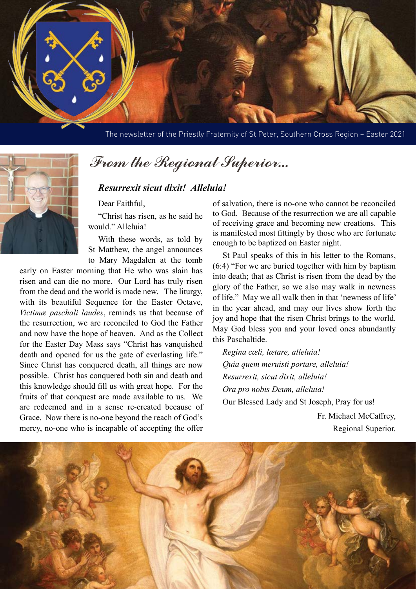

The newsletter of the Priestly Fraternity of St Peter, Southern Cross Region – Easter 2021



## From the Regional Superior...

## *Resurrexit sicut dixit! Alleluia!*

Dear Faithful,

"Christ has risen, as he said he would." Alleluia!

With these words, as told by St Matthew, the angel announces to Mary Magdalen at the tomb

early on Easter morning that He who was slain has risen and can die no more. Our Lord has truly risen from the dead and the world is made new. The liturgy, with its beautiful Sequence for the Easter Octave, *Victimæ paschali laudes*, reminds us that because of the resurrection, we are reconciled to God the Father and now have the hope of heaven. And as the Collect for the Easter Day Mass says "Christ has vanquished death and opened for us the gate of everlasting life." Since Christ has conquered death, all things are now possible. Christ has conquered both sin and death and this knowledge should fill us with great hope. For the fruits of that conquest are made available to us. We are redeemed and in a sense re-created because of Grace. Now there is no-one beyond the reach of God's mercy, no-one who is incapable of accepting the offer

of salvation, there is no-one who cannot be reconciled to God. Because of the resurrection we are all capable of receiving grace and becoming new creations. This is manifested most fittingly by those who are fortunate enough to be baptized on Easter night.

St Paul speaks of this in his letter to the Romans, (6:4) "For we are buried together with him by baptism into death; that as Christ is risen from the dead by the glory of the Father, so we also may walk in newness of life." May we all walk then in that 'newness of life' in the year ahead, and may our lives show forth the joy and hope that the risen Christ brings to the world. May God bless you and your loved ones abundantly this Paschaltide.

*Regina cæli, lætare, alleluia! Quia quem meruisti portare, alleluia! Resurrexit, sicut dixit, alleluia! Ora pro nobis Deum, alleluia!* Our Blessed Lady and St Joseph, Pray for us!

> Fr. Michael McCaffrey, Regional Superior.

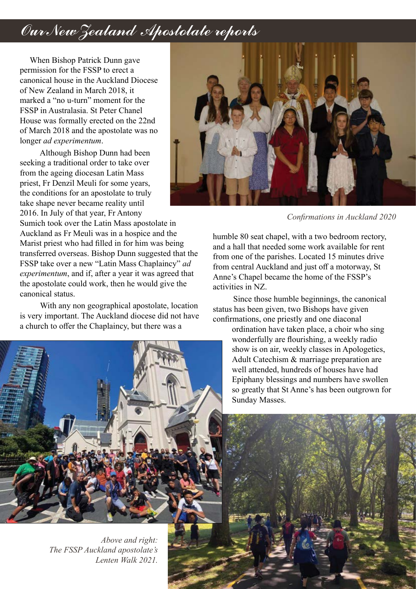## Our New Zealand Apostolate reports

When Bishop Patrick Dunn gave permission for the FSSP to erect a canonical house in the Auckland Diocese of New Zealand in March 2018, it marked a "no u-turn" moment for the FSSP in Australasia. St Peter Chanel House was formally erected on the 22nd of March 2018 and the apostolate was no longer *ad experimentum*.

 Although Bishop Dunn had been seeking a traditional order to take over from the ageing diocesan Latin Mass priest, Fr Denzil Meuli for some years, the conditions for an apostolate to truly take shape never became reality until 2016. In July of that year, Fr Antony

Sumich took over the Latin Mass apostolate in Auckland as Fr Meuli was in a hospice and the Marist priest who had filled in for him was being transferred overseas. Bishop Dunn suggested that the FSSP take over a new "Latin Mass Chaplaincy" *ad experimentum*, and if, after a year it was agreed that the apostolate could work, then he would give the canonical status.

 With any non geographical apostolate, location is very important. The Auckland diocese did not have a church to offer the Chaplaincy, but there was a



*Above and right: The FSSP Auckland apostolate's Lenten Walk 2021.*



*Confirmations in Auckland 2020*

humble 80 seat chapel, with a two bedroom rectory, and a hall that needed some work available for rent from one of the parishes. Located 15 minutes drive from central Auckland and just off a motorway, St Anne's Chapel became the home of the FSSP's activities in NZ.

 Since those humble beginnings, the canonical status has been given, two Bishops have given confirmations, one priestly and one diaconal

> ordination have taken place, a choir who sing wonderfully are flourishing, a weekly radio show is on air, weekly classes in Apologetics, Adult Catechism & marriage preparation are well attended, hundreds of houses have had Epiphany blessings and numbers have swollen so greatly that St Anne's has been outgrown for Sunday Masses.

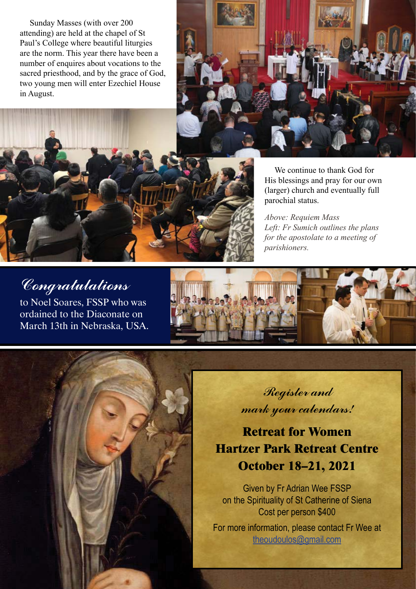Sunday Masses (with over 200 attending) are held at the chapel of St Paul's College where beautiful liturgies are the norm. This year there have been a number of enquires about vocations to the sacred priesthood, and by the grace of God, two young men will enter Ezechiel House in August.





*Above: Requiem Mass Left: Fr Sumich outlines the plans for the apostolate to a meeting of parishioners.*

## Congratulations

to Noel Soares, FSSP who was ordained to the Diaconate on March 13th in Nebraska, USA.



Register and mark your calendars!

**Retreat for Women Hartzer Park Retreat Centre October 18–21, 2021**

Given by Fr Adrian Wee FSSP on the Spirituality of St Catherine of Siena Cost per person \$400

For more information, please contact Fr Wee at [theoudoulos@gmail.com](mailto:theoudoulos%40gmail.com?subject=)